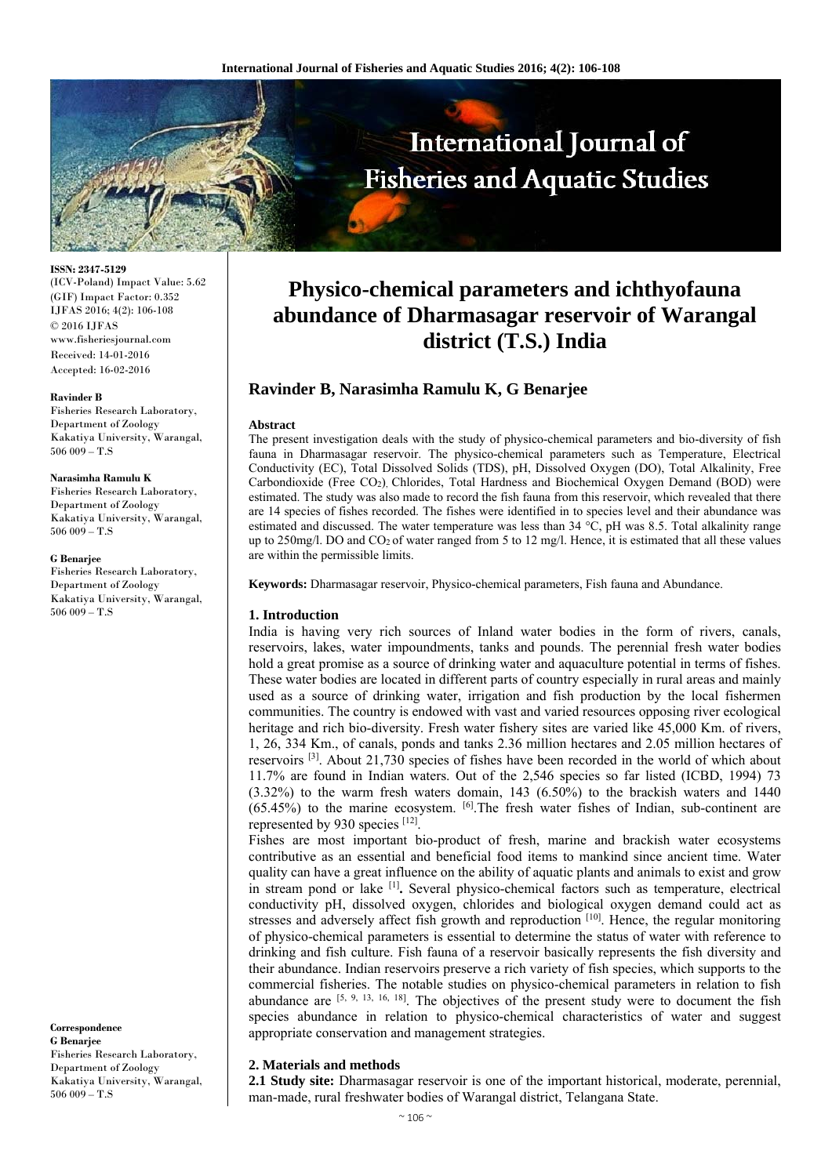

**ISSN: 2347-5129**  (ICV-Poland) Impact Value: 5.62 (GIF) Impact Factor: 0.352 IJFAS 2016; 4(2): 106-108 © 2016 IJFAS www.fisheriesjournal.com Received: 14-01-2016 Accepted: 16-02-2016

#### **Ravinder B**

Fisheries Research Laboratory, Department of Zoology Kakatiya University, Warangal,  $506009 - T.S$ 

#### **Narasimha Ramulu K**

Fisheries Research Laboratory, Department of Zoology Kakatiya University, Warangal, 506 009 – T.S

#### **G Benarjee**

Fisheries Research Laboratory, Department of Zoology Kakatiya University, Warangal, 506 009 – T.S

**Correspondence G Benarjee**  Fisheries Research Laboratory, Department of Zoology Kakatiya University, Warangal,  $506009 - T.S$ 

# **Physico-chemical parameters and ichthyofauna abundance of Dharmasagar reservoir of Warangal district (T.S.) India**

## **Ravinder B, Narasimha Ramulu K, G Benarjee**

## **Abstract**

The present investigation deals with the study of physico-chemical parameters and bio-diversity of fish fauna in Dharmasagar reservoir. The physico-chemical parameters such as Temperature, Electrical Conductivity (EC), Total Dissolved Solids (TDS), pH, Dissolved Oxygen (DO), Total Alkalinity, Free Carbondioxide (Free CO2), Chlorides, Total Hardness and Biochemical Oxygen Demand (BOD) were estimated. The study was also made to record the fish fauna from this reservoir, which revealed that there are 14 species of fishes recorded. The fishes were identified in to species level and their abundance was estimated and discussed. The water temperature was less than 34 °C, pH was 8.5. Total alkalinity range up to 250mg/l. DO and CO2 of water ranged from 5 to 12 mg/l. Hence, it is estimated that all these values are within the permissible limits.

**Keywords:** Dharmasagar reservoir, Physico-chemical parameters, Fish fauna and Abundance.

## **1. Introduction**

India is having very rich sources of Inland water bodies in the form of rivers, canals, reservoirs, lakes, water impoundments, tanks and pounds. The perennial fresh water bodies hold a great promise as a source of drinking water and aquaculture potential in terms of fishes. These water bodies are located in different parts of country especially in rural areas and mainly used as a source of drinking water, irrigation and fish production by the local fishermen communities. The country is endowed with vast and varied resources opposing river ecological heritage and rich bio-diversity. Fresh water fishery sites are varied like 45,000 Km. of rivers, 1, 26, 334 Km., of canals, ponds and tanks 2.36 million hectares and 2.05 million hectares of reservoirs [3]. About 21,730 species of fishes have been recorded in the world of which about 11.7% are found in Indian waters. Out of the 2,546 species so far listed (ICBD, 1994) 73  $(3.32\%)$  to the warm fresh waters domain, 143  $(6.50\%)$  to the brackish waters and 1440 (65.45%) to the marine ecosystem. [6].The fresh water fishes of Indian, sub-continent are represented by 930 species [12].

Fishes are most important bio-product of fresh, marine and brackish water ecosystems contributive as an essential and beneficial food items to mankind since ancient time. Water quality can have a great influence on the ability of aquatic plants and animals to exist and grow in stream pond or lake [1]**.** Several physico-chemical factors such as temperature, electrical conductivity pH, dissolved oxygen, chlorides and biological oxygen demand could act as stresses and adversely affect fish growth and reproduction  $[10]$ . Hence, the regular monitoring of physico-chemical parameters is essential to determine the status of water with reference to drinking and fish culture. Fish fauna of a reservoir basically represents the fish diversity and their abundance. Indian reservoirs preserve a rich variety of fish species, which supports to the commercial fisheries. The notable studies on physico-chemical parameters in relation to fish abundance are  $[5, 9, 13, 16, 18]$ . The objectives of the present study were to document the fish species abundance in relation to physico-chemical characteristics of water and suggest appropriate conservation and management strategies.

## **2. Materials and methods**

**2.1 Study site:** Dharmasagar reservoir is one of the important historical, moderate, perennial, man-made, rural freshwater bodies of Warangal district, Telangana State.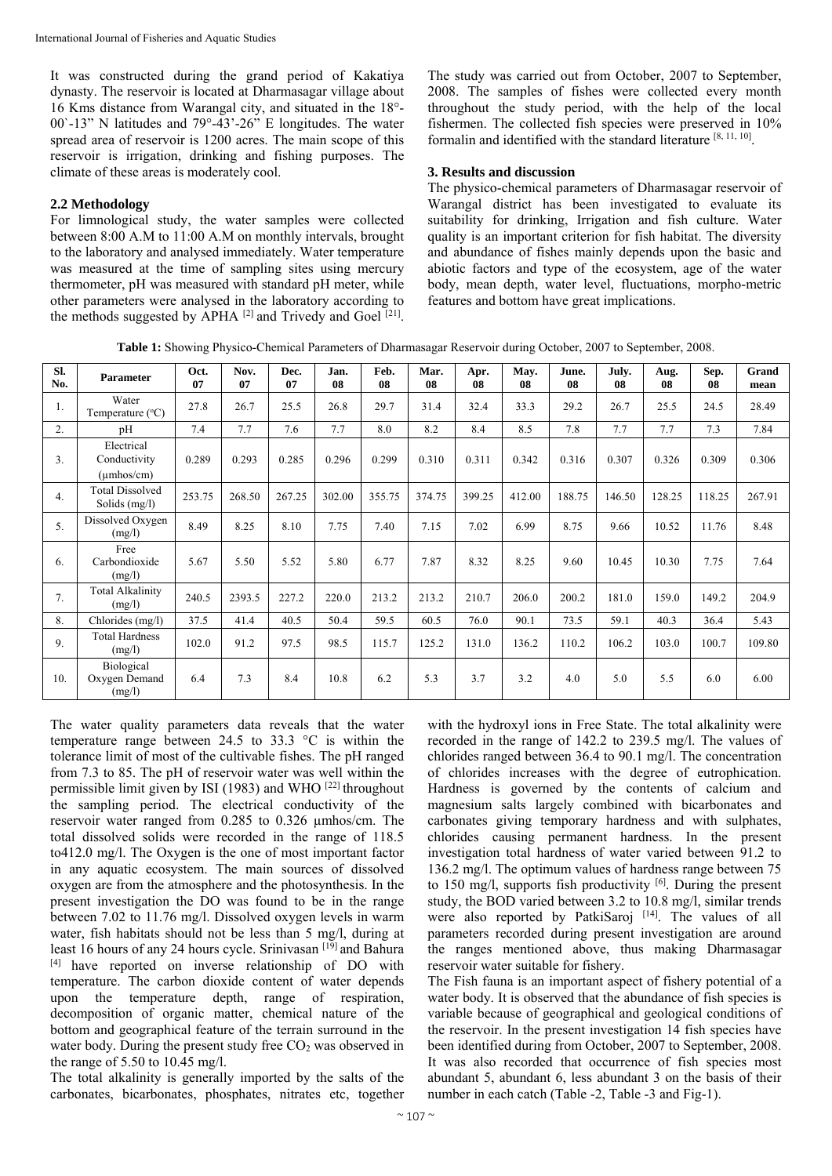It was constructed during the grand period of Kakatiya dynasty. The reservoir is located at Dharmasagar village about 16 Kms distance from Warangal city, and situated in the 18°- 00`-13" N latitudes and 79°-43'-26" E longitudes. The water spread area of reservoir is 1200 acres. The main scope of this reservoir is irrigation, drinking and fishing purposes. The climate of these areas is moderately cool.

## **2.2 Methodology**

For limnological study, the water samples were collected between 8:00 A.M to 11:00 A.M on monthly intervals, brought to the laboratory and analysed immediately. Water temperature was measured at the time of sampling sites using mercury thermometer, pH was measured with standard pH meter, while other parameters were analysed in the laboratory according to the methods suggested by APHA  $^{[2]}$  and Trivedy and Goel  $^{[21]}$ .

The study was carried out from October, 2007 to September, 2008. The samples of fishes were collected every month throughout the study period, with the help of the local fishermen. The collected fish species were preserved in 10% formalin and identified with the standard literature [8, 11, 10].

## **3. Results and discussion**

The physico-chemical parameters of Dharmasagar reservoir of Warangal district has been investigated to evaluate its suitability for drinking, Irrigation and fish culture. Water quality is an important criterion for fish habitat. The diversity and abundance of fishes mainly depends upon the basic and abiotic factors and type of the ecosystem, age of the water body, mean depth, water level, fluctuations, morpho-metric features and bottom have great implications.

**Table 1:** Showing Physico-Chemical Parameters of Dharmasagar Reservoir during October, 2007 to September, 2008.

| SI.<br>No. | Parameter                                        | Oct.<br>07 | Nov.<br>07 | Dec.<br>07 | Jan.<br>08 | Feb.<br>08 | Mar.<br>08 | Apr.<br>08 | May.<br>08 | June.<br>08 | July.<br>08 | Aug.<br>08 | Sep.<br>08 | Grand<br>mean |
|------------|--------------------------------------------------|------------|------------|------------|------------|------------|------------|------------|------------|-------------|-------------|------------|------------|---------------|
| 1.         | Water<br>Temperature (°C)                        | 27.8       | 26.7       | 25.5       | 26.8       | 29.7       | 31.4       | 32.4       | 33.3       | 29.2        | 26.7        | 25.5       | 24.5       | 28.49         |
| 2.         | pH                                               | 7.4        | 7.7        | 7.6        | 7.7        | 8.0        | 8.2        | 8.4        | 8.5        | 7.8         | 7.7         | 7.7        | 7.3        | 7.84          |
| 3.         | Electrical<br>Conductivity<br>$(\mu$ mhos/cm $)$ | 0.289      | 0.293      | 0.285      | 0.296      | 0.299      | 0.310      | 0.311      | 0.342      | 0.316       | 0.307       | 0.326      | 0.309      | 0.306         |
| 4.         | <b>Total Dissolved</b><br>Solids (mg/l)          | 253.75     | 268.50     | 267.25     | 302.00     | 355.75     | 374.75     | 399.25     | 412.00     | 188.75      | 146.50      | 128.25     | 118.25     | 267.91        |
| 5.         | Dissolved Oxygen<br>(mg/l)                       | 8.49       | 8.25       | 8.10       | 7.75       | 7.40       | 7.15       | 7.02       | 6.99       | 8.75        | 9.66        | 10.52      | 11.76      | 8.48          |
| 6.         | Free<br>Carbondioxide<br>(mg/l)                  | 5.67       | 5.50       | 5.52       | 5.80       | 6.77       | 7.87       | 8.32       | 8.25       | 9.60        | 10.45       | 10.30      | 7.75       | 7.64          |
| 7.         | <b>Total Alkalinity</b><br>(mg/l)                | 240.5      | 2393.5     | 227.2      | 220.0      | 213.2      | 213.2      | 210.7      | 206.0      | 200.2       | 181.0       | 159.0      | 149.2      | 204.9         |
| 8.         | Chlorides (mg/l)                                 | 37.5       | 41.4       | 40.5       | 50.4       | 59.5       | 60.5       | 76.0       | 90.1       | 73.5        | 59.1        | 40.3       | 36.4       | 5.43          |
| 9.         | <b>Total Hardness</b><br>(mg/l)                  | 102.0      | 91.2       | 97.5       | 98.5       | 115.7      | 125.2      | 131.0      | 136.2      | 110.2       | 106.2       | 103.0      | 100.7      | 109.80        |
| 10.        | Biological<br>Oxygen Demand<br>(mg/l)            | 6.4        | 7.3        | 8.4        | 10.8       | 6.2        | 5.3        | 3.7        | 3.2        | 4.0         | 5.0         | 5.5        | 6.0        | 6.00          |

The water quality parameters data reveals that the water temperature range between 24.5 to 33.3 °C is within the tolerance limit of most of the cultivable fishes. The pH ranged from 7.3 to 85. The pH of reservoir water was well within the permissible limit given by ISI (1983) and WHO [22] throughout the sampling period. The electrical conductivity of the reservoir water ranged from 0.285 to 0.326 µmhos/cm. The total dissolved solids were recorded in the range of 118.5 to412.0 mg/l. The Oxygen is the one of most important factor in any aquatic ecosystem. The main sources of dissolved oxygen are from the atmosphere and the photosynthesis. In the present investigation the DO was found to be in the range between 7.02 to 11.76 mg/l. Dissolved oxygen levels in warm water, fish habitats should not be less than 5 mg/l, during at least 16 hours of any 24 hours cycle. Srinivasan<sup>[19]</sup> and Bahura [4] have reported on inverse relationship of DO with temperature. The carbon dioxide content of water depends upon the temperature depth, range of respiration, decomposition of organic matter, chemical nature of the bottom and geographical feature of the terrain surround in the water body. During the present study free  $CO<sub>2</sub>$  was observed in the range of 5.50 to 10.45 mg/l.

The total alkalinity is generally imported by the salts of the carbonates, bicarbonates, phosphates, nitrates etc, together

with the hydroxyl ions in Free State. The total alkalinity were recorded in the range of 142.2 to 239.5 mg/l. The values of chlorides ranged between 36.4 to 90.1 mg/l. The concentration of chlorides increases with the degree of eutrophication. Hardness is governed by the contents of calcium and magnesium salts largely combined with bicarbonates and carbonates giving temporary hardness and with sulphates, chlorides causing permanent hardness. In the present investigation total hardness of water varied between 91.2 to 136.2 mg/l. The optimum values of hardness range between 75 to 150 mg/l, supports fish productivity  $[6]$ . During the present study, the BOD varied between 3.2 to 10.8 mg/l, similar trends were also reported by PatkiSaroj [14]. The values of all parameters recorded during present investigation are around the ranges mentioned above, thus making Dharmasagar reservoir water suitable for fishery.

The Fish fauna is an important aspect of fishery potential of a water body. It is observed that the abundance of fish species is variable because of geographical and geological conditions of the reservoir. In the present investigation 14 fish species have been identified during from October, 2007 to September, 2008. It was also recorded that occurrence of fish species most abundant 5, abundant 6, less abundant 3 on the basis of their number in each catch (Table -2, Table -3 and Fig-1).